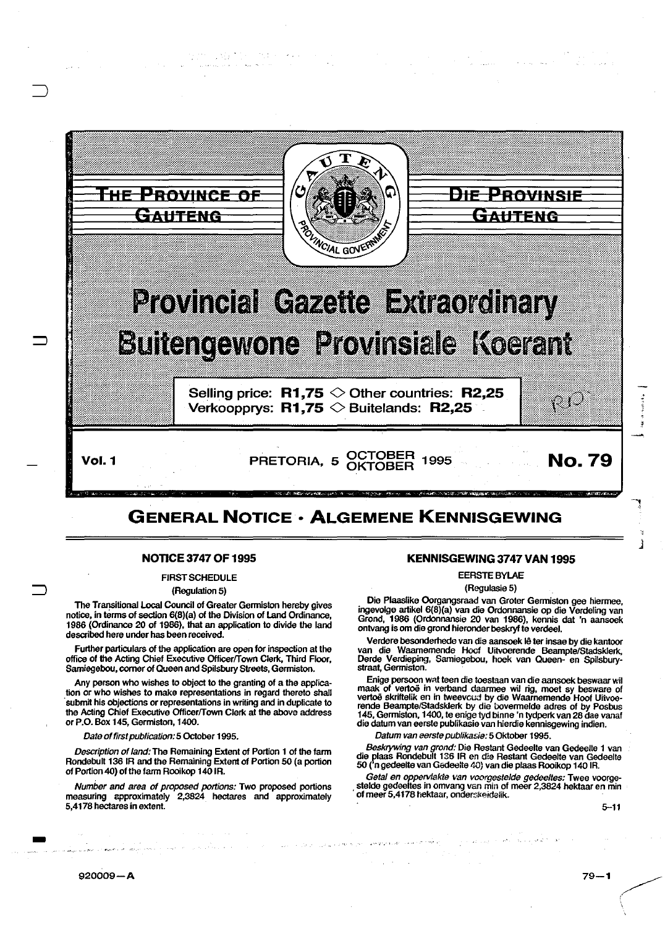

## **NOTICE 3747 OF 1995**

FIRST SCHEDULE

(Regulation 5)

The Transitional Local Council of Greater Genniston hereby gives notice, in tenns of section 6(8)(a) of the Division of Land Ordinance, 1986 (Ordinance 20 of 1986), that an application to divide the land described here under has been received.

Further particulars of the application are open for inspection at the office of the Acting Chief Executive Officer/Town Clerk, Third Floor, Samiegebou, corner of Queen and Spilsbury Streets, Genniston.

Any person who wishes to object to the granting of a the application or who wishes to make representations in regard thereto shall submit his objections or representations in writing and in duplicate to the Acting Chief Executive Officer/Town Clerk at the above address or P.O. Box 145, Germiston, 1400.

Date of first publication: 5 October 1995.

Description of land: The Remaining Extent of Portion 1 of the fann Rondebult 136 IR and the Remaining Extent of Portion 50 (a portion of Portion 40) of the farm Rooikop 140 IR.

Number and area of proposed portions: Two proposed portions measuring approximately 2,3824 hectares and approximately 5,4178 hectares in extent.

## **KENNISGEWING 3747 VAN 1995**

EERSTE BYLAE

(Regulasie 5)

Die Plaaslike Oorgangsraad van Groter Genniston gee hiennee, ingevolge artikel 6(8)(a) van die Ordonnansie op die Verdeling van Grond, 1986 (Ordonnansie 20 van 1986), kennis dat 'n aansoek ontvang is om die grond hieronder beskryf te verdeel.

Verdere besonderhede van die aansoek le ter insae by die kantoor van die Waamemende Hoof Uitvoerende Beampte/Stadsklerk, Derde Verdieping, Samiegebou, hoek van Queen· en Spilsbury-straat, Genniston.

Enige persoon wat teen die toestaan van die aansoek beswaar wil maak of vertoë in verband daarmee wil rig, moet sy besware of<br>vertoë skriftelik en in tweevoud by die Waarnemende Hoof Uitvoerende Beampte/Stadsklerk by die bovermelde adres of by Posbus<br>145, Germiston, 1400, te enige tyd binne 'n tydperk van 28 dae vanaf die datum van eerste publikasie van hierdie kennisgewing indien.

Datum van eerste publikasie: 5 Oktober 1995.

Beskrywing van grond: Die Restant Gedeelte van Gedeelte 1 van die plaas Rondebult 136 IR en die Restant Gedeelte van Gedeelte<br>50 ('n gedeelte van Gedeelte 40) van die plaas Rooikop 140 IR.

Getal en oppervlakte van voorgestelde gedeeltes: Twee voorgestelde gedeeltes in omvang van min of meer 2,3824 hektaar en min<br>of meer 5,4178 hektaar, onderskeidelik.

5-11

., J

-<br>-<br>-